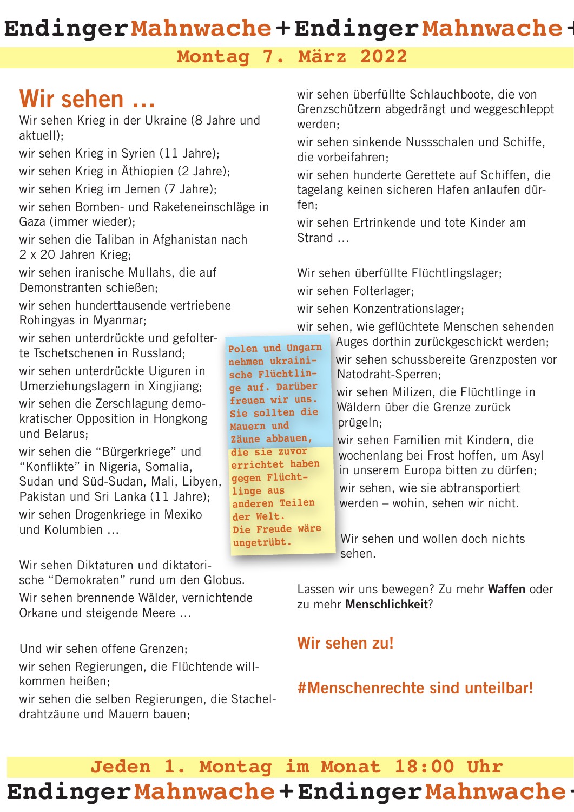## **EndingerMahnwache+EndingerMahnwache+**

#### **Montag 7. März 2022**

# Wir sehen …

Wir sehen Krieg in der Ukraine (8 Jahre und aktuell); wir sehen Krieg in Syrien (11 Jahre);

wir sehen Krieg in Äthiopien (2 Jahre);

wir sehen Krieg im Jemen (7 Jahre);

wir sehen Bomben- und Raketeneinschläge in Gaza (immer wieder);

wir sehen die Taliban in Afghanistan nach 2 x 20 Jahren Krieg;

wir sehen iranische Mullahs, die auf Demonstranten schießen;

wir sehen hunderttausende vertriebene Rohingyas in Myanmar;

wir sehen unterdrückte und gefolterte Tschetschenen in Russland;

wir sehen unterdrückte Uiguren in Umerziehungslagern in Xingjiang; wir sehen die Zerschlagung demokratischer Opposition in Hongkong und Belarus;

wir sehen die "Bürgerkriege" und "Konflikte" in Nigeria, Somalia, Sudan und Süd-Sudan, Mali, Libyen, Pakistan und Sri Lanka (11 Jahre); wir sehen Drogenkriege in Mexiko und Kolumbien …

Wir sehen Diktaturen und diktatorische "Demokraten" rund um den Globus. Wir sehen brennende Wälder, vernichtende Orkane und steigende Meere …

Und wir sehen offene Grenzen; wir sehen Regierungen, die Flüchtende willkommen heißen; wir sehen die selben Regierungen, die Stachel-

drahtzäune und Mauern bauen;

wir sehen überfüllte Schlauchboote, die von Grenzschützern abgedrängt und weggeschleppt werden;

wir sehen sinkende Nussschalen und Schiffe, die vorbeifahren;

wir sehen hunderte Gerettete auf Schiffen, die tagelang keinen sicheren Hafen anlaufen dürfen;

wir sehen Ertrinkende und tote Kinder am Strand …

Wir sehen überfüllte Flüchtlingslager;

wir sehen Folterlager;

wir sehen Konzentrationslager;

wir sehen, wie geflüchtete Menschen sehenden

**Polen und Ungarn nehmen ukrainische Flüchtlinge auf. Darüber freuen wir uns. Sie sollten die Mauern und Zäune abbauen, die sie zuvor errichtet haben gegen Flüchtlinge aus anderen Teilen der Welt. Die Freude wäre** 

**ungetrübt.**

Auges dorthin zurückgeschickt werden; wir sehen schussbereite Grenzposten vor Natodraht-Sperren;

wir sehen Milizen, die Flüchtlinge in Wäldern über die Grenze zurück prügeln;

wir sehen Familien mit Kindern, die wochenlang bei Frost hoffen, um Asyl in unserem Europa bitten zu dürfen; wir sehen, wie sie abtransportiert werden – wohin, sehen wir nicht.

Wir sehen und wollen doch nichts sehen.

Lassen wir uns bewegen? Zu mehr Waffen oder zu mehr Menschlichkeit?

### Wir sehen zu!

### #Menschenrechte sind unteilbar!

## **Jeden 1. Montag im Monat 18:00 Uhr EndingerMahnwache+EndingerMahnwache+**